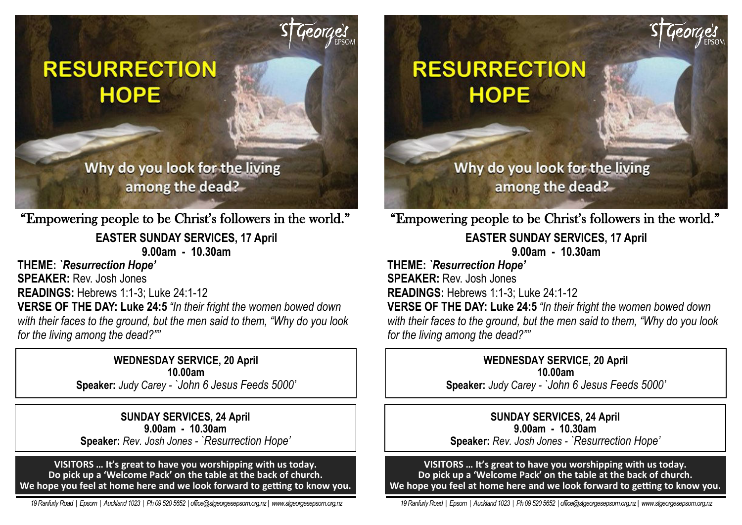# **RESURRECTION HOPE**

# Why do you look for the living among the dead?

"Empowering people to be Christ's followers in the world."

**EASTER SUNDAY SERVICES, 17 April 9.00am - 10.30am** 

**THEME:** *`Resurrection Hope'* **SPEAKER:** Rev. Josh Jones **READINGS:** Hebrews 1:1-3; Luke 24:1-12 **VERSE OF THE DAY: Luke 24:5** *"In their fright the women bowed down* 

*with their faces to the ground, but the men said to them, "Why do you look for the living among the dead?""*

> **WEDNESDAY SERVICE, 20 April 10.00am**

**Speaker:** *Judy Carey - `John 6 Jesus Feeds 5000'*

**SUNDAY SERVICES, 24 April 9.00am - 10.30am Speaker:** *Rev. Josh Jones - `Resurrection Hope'*

**VISITORS … It's great to have you worshipping with us today. Do pick up a 'Welcome Pack' on the table at the back of church. We hope you feel at home here and we look forward to getting to know you.**

 *19 Ranfurly Road | Epsom | Auckland 1023 | Ph 09 520 5652 | office@stgeorgesepsom.org.nz | www.stgeorgesepsom.org.nz* 

# **RESURRECTION HOPE**

Why do you look for the living among the dead?

"Empowering people to be Christ's followers in the world."

**EASTER SUNDAY SERVICES, 17 April 9.00am - 10.30am** 

**THEME:** *`Resurrection Hope'* **SPEAKER:** Rev. Josh Jones **READINGS:** Hebrews 1:1-3; Luke 24:1-12

**VERSE OF THE DAY: Luke 24:5** *"In their fright the women bowed down with their faces to the ground, but the men said to them, "Why do you look for the living among the dead?""*

#### **WEDNESDAY SERVICE, 20 April 10.00am**

**Speaker:** *Judy Carey - `John 6 Jesus Feeds 5000'*

## **SUNDAY SERVICES, 24 April 9.00am - 10.30am**

**Speaker:** *Rev. Josh Jones - `Resurrection Hope'*

**VISITORS … It's great to have you worshipping with us today. Do pick up a 'Welcome Pack' on the table at the back of church. We hope you feel at home here and we look forward to getting to know you.**

 *19 Ranfurly Road | Epsom | Auckland 1023 | Ph 09 520 5652 | office@stgeorgesepsom.org.nz | www.stgeorgesepsom.org.nz*